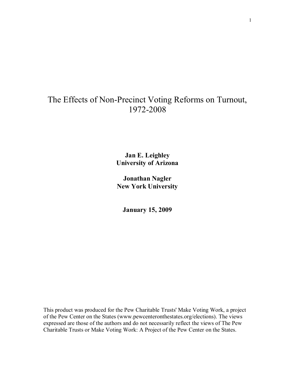# The Effects of Non-Precinct Voting Reforms on Turnout, 1972-2008

**Jan E. Leighley University of Arizona**

**Jonathan Nagler New York University** 

**January 15, 2009**

This product was produced for the Pew Charitable Trusts' Make Voting Work, a project of the Pew Center on the States (www.pewcenteronthestates.org/elections). The views expressed are those of the authors and do not necessarily reflect the views of The Pew Charitable Trusts or Make Voting Work: A Project of the Pew Center on the States.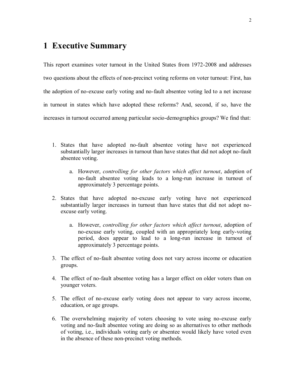## **1 Executive Summary**

This report examines voter turnout in the United States from 1972-2008 and addresses two questions about the effects of non-precinct voting reforms on voter turnout: First, has the adoption of no-excuse early voting and no-fault absentee voting led to a net increase in turnout in states which have adopted these reforms? And, second, if so, have the increases in turnout occurred among particular socio-demographics groups? We find that:

- 1. States that have adopted no-fault absentee voting have not experienced substantially larger increases in turnout than have states that did not adopt no-fault absentee voting.
	- a. However, *controlling for other factors which affect turnout*, adoption of no-fault absentee voting leads to a long-run increase in turnout of approximately 3 percentage points.
- 2. States that have adopted no-excuse early voting have not experienced substantially larger increases in turnout than have states that did not adopt noexcuse early voting.
	- a. However, *controlling for other factors which affect turnout*, adoption of no-excuse early voting, coupled with an appropriately long early-voting period, does appear to lead to a long-run increase in turnout of approximately 3 percentage points.
- 3. The effect of no-fault absentee voting does not vary across income or education groups.
- 4. The effect of no-fault absentee voting has a larger effect on older voters than on younger voters.
- 5. The effect of no-excuse early voting does not appear to vary across income, education, or age groups.
- 6. The overwhelming majority of voters choosing to vote using no-excuse early voting and no-fault absentee voting are doing so as alternatives to other methods of voting, i.e., individuals voting early or absentee would likely have voted even in the absence of these non-precinct voting methods.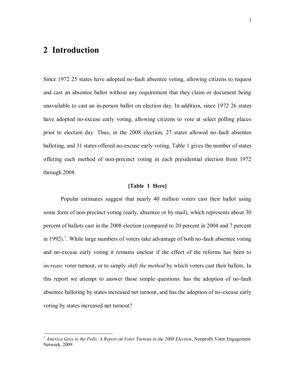### **2 Introduction**

 $\overline{a}$ 

Since 1972 25 states have adopted no-fault absentee voting, allowing citizens to request and cast an absentee ballot without any requirement that they claim or document being unavailable to cast an in-person ballot on election day. In addition, since 1972 26 states have adopted no-excuse early voting, allowing citizens to vote at select polling places prior to election day. Thus, in the 2008 election, 27 states allowed no-fault absentee balloting, and 31 states offered no-excuse early voting. Table 1 gives the number of states offering each method of non-precinct voting in each presidential election from 1972 through 2008.

#### **[Table 1 Here]**

Popular estimates suggest that nearly 40 million voters cast their ballot using some form of non-precinct voting (early, absentee or by mail), which represents about 30 percent of ballots cast in the 2008 election (compared to 20 percent in 2004 and 7 percent in 1992).<sup>1</sup>. While large numbers of voters take advantage of both no-fault absentee voting and no-excuse early voting it remains unclear if the effect of the reforms has been to *increase* voter turnout, or to simply *shift the method* by which voters cast their ballots. In this report we attempt to answer those simple questions: has the adoption of no-fault absentee balloting by states increased net turnout, and has the adoption of no-excuse early voting by states increased net turnout?

<sup>&</sup>lt;sup>1</sup> *America Goes to the Polls: A Report on Voter Turnout in the 2008 Election*, Nonprofit Voter Engagement Network, 2009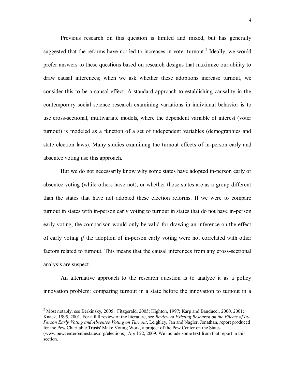Previous research on this question is limited and mixed, but has generally suggested that the reforms have not led to increases in voter turnout.<sup>2</sup> Ideally, we would prefer answers to these questions based on research designs that maximize our ability to draw causal inferences; when we ask whether these adoptions increase turnout, we consider this to be a causal effect. A standard approach to establishing causality in the contemporary social science research examining variations in individual behavior is to use cross-sectional, multivariate models, where the dependent variable of interest (voter turnout) is modeled as a function of a set of independent variables (demographics and state election laws). Many studies examining the turnout effects of in-person early and absentee voting use this approach.

But we do not necessarily know why some states have adopted in-person early or absentee voting (while others have not), or whether those states are as a group different than the states that have not adopted these election reforms. If we were to compare turnout in states with in-person early voting to turnout in states that do not have in-person early voting, the comparison would only be valid for drawing an inference on the effect of early voting *if* the adoption of in-person early voting were not correlated with other factors related to turnout. This means that the causal inferences from any cross-sectional analysis are suspect.

An alternative approach to the research question is to analyze it as a policy innovation problem: comparing turnout in a state before the innovation to turnout in a

<sup>&</sup>lt;sup>2</sup> Most notably, see Berkinsky, 2005; Fitzgerald, 2005; Highton, 1997; Karp and Banducci, 2000, 2001; Knack, 1995, 2001. For a full review of the literature, see *Review of Existing Research on the Effects of In-Person Early Voting and Absentee Voting on Turnout*, Leighley, Jan and Nagler, Jonathan, report produced for the Pew Charitable Trusts' Make Voting Work, a project of the Pew Center on the States (www.pewcenteronthestates.org/elections), April 22, 2009. We include some text from that report in this section.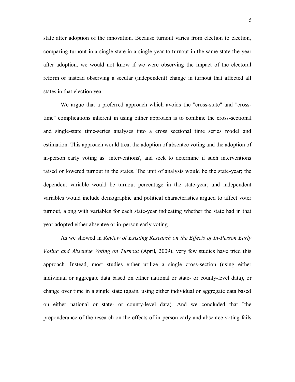state after adoption of the innovation. Because turnout varies from election to election, comparing turnout in a single state in a single year to turnout in the same state the year after adoption, we would not know if we were observing the impact of the electoral reform or instead observing a secular (independent) change in turnout that affected all states in that election year.

We argue that a preferred approach which avoids the "cross-state" and "crosstime" complications inherent in using either approach is to combine the cross-sectional and single-state time-series analyses into a cross sectional time series model and estimation. This approach would treat the adoption of absentee voting and the adoption of in-person early voting as `interventions', and seek to determine if such interventions raised or lowered turnout in the states. The unit of analysis would be the state-year; the dependent variable would be turnout percentage in the state-year; and independent variables would include demographic and political characteristics argued to affect voter turnout, along with variables for each state-year indicating whether the state had in that year adopted either absentee or in-person early voting.

As we showed in *Review of Existing Research on the Effects of In-Person Early Voting and Absentee Voting on Turnout* (April, 2009), very few studies have tried this approach. Instead, most studies either utilize a single cross-section (using either individual or aggregate data based on either national or state- or county-level data), or change over time in a single state (again, using either individual or aggregate data based on either national or state- or county-level data). And we concluded that "the preponderance of the research on the effects of in-person early and absentee voting fails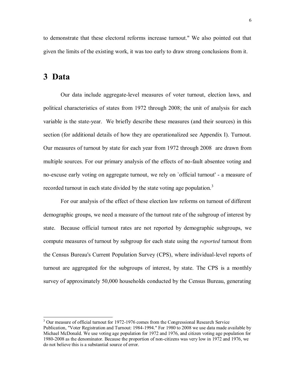to demonstrate that these electoral reforms increase turnout." We also pointed out that given the limits of the existing work, it was too early to draw strong conclusions from it.

### **3 Data**

 $\overline{a}$ 

Our data include aggregate-level measures of voter turnout, election laws, and political characteristics of states from 1972 through 2008; the unit of analysis for each variable is the state-year. We briefly describe these measures (and their sources) in this section (for additional details of how they are operationalized see Appendix I). Turnout. Our measures of turnout by state for each year from 1972 through 2008 are drawn from multiple sources. For our primary analysis of the effects of no-fault absentee voting and no-excuse early voting on aggregate turnout, we rely on `official turnout' - a measure of recorded turnout in each state divided by the state voting age population.<sup>3</sup>

For our analysis of the effect of these election law reforms on turnout of different demographic groups, we need a measure of the turnout rate of the subgroup of interest by state. Because official turnout rates are not reported by demographic subgroups, we compute measures of turnout by subgroup for each state using the *reported* turnout from the Census Bureau's Current Population Survey (CPS), where individual-level reports of turnout are aggregated for the subgroups of interest, by state. The CPS is a monthly survey of approximately 50,000 households conducted by the Census Bureau, generating

 $3$  Our measure of official turnout for 1972-1976 comes from the Congressional Research Service Publication, "Voter Registration and Turnout: 1984-1994." For 1980 to 2008 we use data made available by Michael McDonald. We use voting age population for 1972 and 1976, and citizen voting age population for 1980-2008 as the denominator. Because the proportion of non-citizens was very low in 1972 and 1976, we do not believe this is a substantial source of error.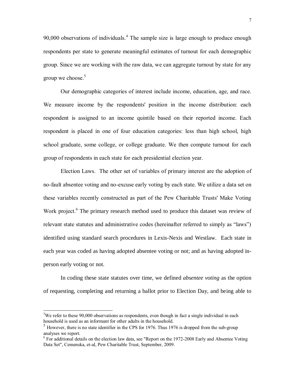90,000 observations of individuals.<sup>4</sup> The sample size is large enough to produce enough respondents per state to generate meaningful estimates of turnout for each demographic group. Since we are working with the raw data, we can aggregate turnout by state for any group we choose.<sup>5</sup>

Our demographic categories of interest include income, education, age, and race. We measure income by the respondents' position in the income distribution: each respondent is assigned to an income quintile based on their reported income. Each respondent is placed in one of four education categories: less than high school, high school graduate, some college, or college graduate. We then compute turnout for each group of respondents in each state for each presidential election year.

Election Laws. The other set of variables of primary interest are the adoption of no-fault absentee voting and no-excuse early voting by each state. We utilize a data set on these variables recently constructed as part of the Pew Charitable Trusts' Make Voting Work project.<sup>6</sup> The primary research method used to produce this dataset was review of relevant state statutes and administrative codes (hereinafter referred to simply as "laws") identified using standard search procedures in Lexis-Nexis and Westlaw. Each state in each year was coded as having adopted absentee voting or not; and as having adopted inperson early voting or not.

In coding these state statutes over time, we defined *absentee voting* as the option of requesting, completing and returning a ballot prior to Election Day, and being able to

 $3$ We refer to these 90,000 observations as respondents, even though in fact a single individual in each household is used as an informant for other adults in the household.

 $<sup>5</sup>$  However, there is no state identifier in the CPS for 1976. Thus 1976 is dropped from the sub-group</sup> analyses we report.

 $6$  For additional details on the election law data, see "Report on the 1972-2008 Early and Absentee Voting Data Set", Cemenska, et-al, Pew Charitable Trust, September, 2009.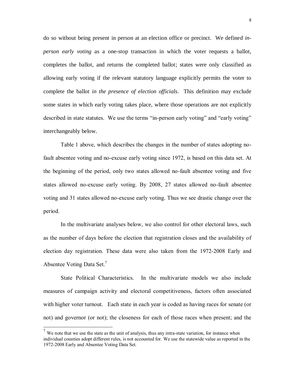do so without being present in person at an election office or precinct. We defined *inperson early voting* as a one-stop transaction in which the voter requests a ballot, completes the ballot, and returns the completed ballot; states were only classified as allowing early voting if the relevant statutory language explicitly permits the voter to complete the ballot *in the presence of election officials*. This definition may exclude some states in which early voting takes place, where those operations are not explicitly described in state statutes. We use the terms "in-person early voting" and "early voting" interchangeably below.

Table 1 above, which describes the changes in the number of states adopting nofault absentee voting and no-excuse early voting since 1972, is based on this data set. At the beginning of the period, only two states allowed no-fault absentee voting and five states allowed no-excuse early voting. By 2008, 27 states allowed no-fault absentee voting and 31 states allowed no-excuse early voting. Thus we see drastic change over the period.

In the multivariate analyses below, we also control for other electoral laws, such as the number of days before the election that registration closes and the availability of election day registration. These data were also taken from the 1972-2008 Early and Absentee Voting Data Set. 7

State Political Characteristics. In the multivariate models we also include measures of campaign activity and electoral competitiveness, factors often associated with higher voter turnout. Each state in each year is coded as having races for senate (or not) and governor (or not); the closeness for each of those races when present; and the

 $7$  We note that we use the state as the unit of analysis, thus any intra-state variation, for instance when individual counties adopt different rules, is not accounted for. We use the statewide value as reported in the 1972-2008 Early and Absentee Voting Data Set.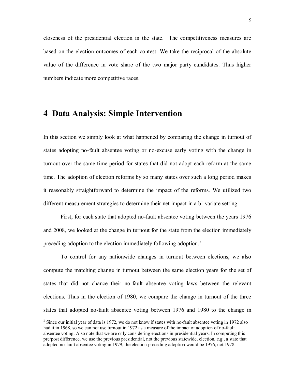closeness of the presidential election in the state. The competitiveness measures are based on the election outcomes of each contest. We take the reciprocal of the absolute value of the difference in vote share of the two major party candidates. Thus higher numbers indicate more competitive races.

### **4 Data Analysis: Simple Intervention**

In this section we simply look at what happened by comparing the change in turnout of states adopting no-fault absentee voting or no-excuse early voting with the change in turnout over the same time period for states that did not adopt each reform at the same time. The adoption of election reforms by so many states over such a long period makes it reasonably straightforward to determine the impact of the reforms. We utilized two different measurement strategies to determine their net impact in a bi-variate setting.

First, for each state that adopted no-fault absentee voting between the years 1976 and 2008, we looked at the change in turnout for the state from the election immediately preceding adoption to the election immediately following adoption.<sup>8</sup>

To control for any nationwide changes in turnout between elections, we also compute the matching change in turnout between the same election years for the set of states that did not chance their no-fault absentee voting laws between the relevant elections. Thus in the election of 1980, we compare the change in turnout of the three states that adopted no-fault absentee voting between 1976 and 1980 to the change in

<sup>&</sup>lt;sup>8</sup> Since our initial year of data is 1972, we do not know if states with no-fault absentee voting in 1972 also had it in 1968, so we can not use turnout in 1972 as a measure of the impact of adoption of no-fault absentee voting. Also note that we are only considering elections in presidential years. In computing this pre/post difference, we use the previous presidential, not the previous statewide, election, e.g., a state that adopted no-fault absentee voting in 1979, the election preceding adoption would be 1976, not 1978.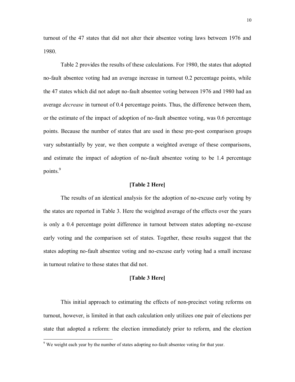turnout of the 47 states that did not alter their absentee voting laws between 1976 and 1980.

Table 2 provides the results of these calculations. For 1980, the states that adopted no-fault absentee voting had an average increase in turnout 0.2 percentage points, while the 47 states which did not adopt no-fault absentee voting between 1976 and 1980 had an average *decrease* in turnout of 0.4 percentage points. Thus, the difference between them, or the estimate of the impact of adoption of no-fault absentee voting, was 0.6 percentage points. Because the number of states that are used in these pre-post comparison groups vary substantially by year, we then compute a weighted average of these comparisons, and estimate the impact of adoption of no-fault absentee voting to be 1.4 percentage points.<sup>9</sup>

#### **[Table 2 Here]**

The results of an identical analysis for the adoption of no-excuse early voting by the states are reported in Table 3. Here the weighted average of the effects over the years is only a 0.4 percentage point difference in turnout between states adopting no-excuse early voting and the comparison set of states. Together, these results suggest that the states adopting no-fault absentee voting and no-excuse early voting had a small increase in turnout relative to those states that did not.

#### **[Table 3 Here]**

This initial approach to estimating the effects of non-precinct voting reforms on turnout, however, is limited in that each calculation only utilizes one pair of elections per state that adopted a reform: the election immediately prior to reform, and the election

 $9$  We weight each year by the number of states adopting no-fault absentee voting for that year.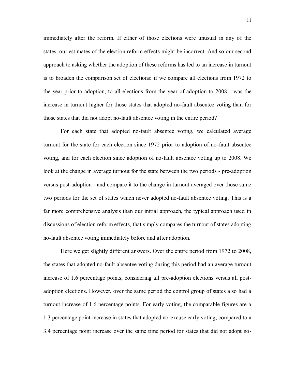immediately after the reform. If either of those elections were unusual in any of the states, our estimates of the election reform effects might be incorrect. And so our second approach to asking whether the adoption of these reforms has led to an increase in turnout is to broaden the comparison set of elections: if we compare all elections from 1972 to the year prior to adoption, to all elections from the year of adoption to 2008 - was the increase in turnout higher for those states that adopted no-fault absentee voting than for those states that did not adopt no-fault absentee voting in the entire period?

For each state that adopted no-fault absentee voting, we calculated average turnout for the state for each election since 1972 prior to adoption of no-fault absentee voting, and for each election since adoption of no-fault absentee voting up to 2008. We look at the change in average turnout for the state between the two periods - pre-adoption versus post-adoption - and compare it to the change in turnout averaged over those same two periods for the set of states which never adopted no-fault absentee voting. This is a far more comprehensive analysis than our initial approach, the typical approach used in discussions of election reform effects, that simply compares the turnout of states adopting no-fault absentee voting immediately before and after adoption.

Here we get slightly different answers. Over the entire period from 1972 to 2008, the states that adopted no-fault absentee voting during this period had an average turnout increase of 1.6 percentage points, considering all pre-adoption elections versus all postadoption elections. However, over the same period the control group of states also had a turnout increase of 1.6 percentage points. For early voting, the comparable figures are a 1.3 percentage point increase in states that adopted no-excuse early voting, compared to a 3.4 percentage point increase over the same time period for states that did not adopt no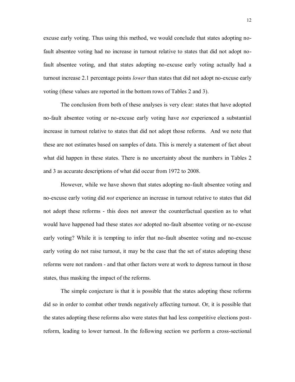excuse early voting. Thus using this method, we would conclude that states adopting nofault absentee voting had no increase in turnout relative to states that did not adopt nofault absentee voting, and that states adopting no-excuse early voting actually had a turnout increase 2.1 percentage points *lower* than states that did not adopt no-excuse early voting (these values are reported in the bottom rows of Tables 2 and 3).

The conclusion from both of these analyses is very clear: states that have adopted no-fault absentee voting or no-excuse early voting have *not* experienced a substantial increase in turnout relative to states that did not adopt those reforms. And we note that these are not estimates based on samples of data. This is merely a statement of fact about what did happen in these states. There is no uncertainty about the numbers in Tables 2 and 3 as accurate descriptions of what did occur from 1972 to 2008.

However, while we have shown that states adopting no-fault absentee voting and no-excuse early voting did *not* experience an increase in turnout relative to states that did not adopt these reforms - this does not answer the counterfactual question as to what would have happened had these states *not* adopted no-fault absentee voting or no-excuse early voting? While it is tempting to infer that no-fault absentee voting and no-excuse early voting do not raise turnout, it may be the case that the set of states adopting these reforms were not random - and that other factors were at work to depress turnout in those states, thus masking the impact of the reforms.

The simple conjecture is that it is possible that the states adopting these reforms did so in order to combat other trends negatively affecting turnout. Or, it is possible that the states adopting these reforms also were states that had less competitive elections postreform, leading to lower turnout. In the following section we perform a cross-sectional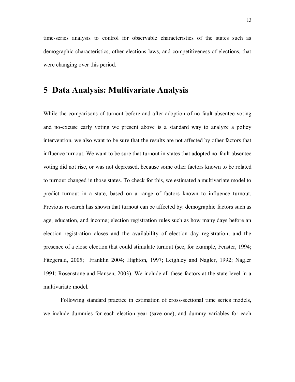time-series analysis to control for observable characteristics of the states such as demographic characteristics, other elections laws, and competitiveness of elections, that were changing over this period.

### **5 Data Analysis: Multivariate Analysis**

While the comparisons of turnout before and after adoption of no-fault absentee voting and no-excuse early voting we present above is a standard way to analyze a policy intervention, we also want to be sure that the results are not affected by other factors that influence turnout. We want to be sure that turnout in states that adopted no-fault absentee voting did not rise, or was not depressed, because some other factors known to be related to turnout changed in those states. To check for this, we estimated a multivariate model to predict turnout in a state, based on a range of factors known to influence turnout. Previous research has shown that turnout can be affected by: demographic factors such as age, education, and income; election registration rules such as how many days before an election registration closes and the availability of election day registration; and the presence of a close election that could stimulate turnout (see, for example, Fenster, 1994; Fitzgerald, 2005; Franklin 2004; Highton, 1997; Leighley and Nagler, 1992; Nagler 1991; Rosenstone and Hansen, 2003). We include all these factors at the state level in a multivariate model.

Following standard practice in estimation of cross-sectional time series models, we include dummies for each election year (save one), and dummy variables for each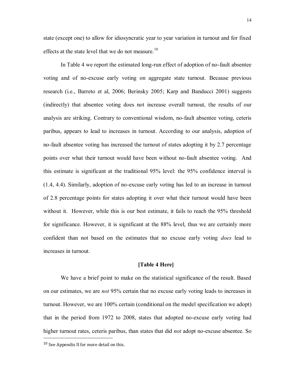state (except one) to allow for idiosyncratic year to year variation in turnout and for fixed effects at the state level that we do not measure.<sup>10</sup>

In Table 4 we report the estimated long-run effect of adoption of no-fault absentee voting and of no-excuse early voting on aggregate state turnout. Because previous research (i.e., Barreto et al, 2006; Berinsky 2005; Karp and Banducci 2001) suggests (indirectly) that absentee voting does not increase overall turnout, the results of our analysis are striking. Contrary to conventional wisdom, no-fault absentee voting, ceteris paribus, appears to lead to increases in turnout. According to our analysis, adoption of no-fault absentee voting has increased the turnout of states adopting it by 2.7 percentage points over what their turnout would have been without no-fault absentee voting. And this estimate is significant at the traditional 95% level: the 95% confidence interval is (1.4, 4.4). Similarly, adoption of no-excuse early voting has led to an increase in turnout of 2.8 percentage points for states adopting it over what their turnout would have been without it. However, while this is our best estimate, it fails to reach the 95% threshold for significance. However, it is significant at the 88% level, thus we are certainly more confident than not based on the estimates that no excuse early voting *does* lead to increases in turnout.

#### **[Table 4 Here]**

We have a brief point to make on the statistical significance of the result. Based on our estimates, we are *not* 95% certain that no excuse early voting leads to increases in turnout. However, we are 100% certain (conditional on the model specification we adopt) that in the period from 1972 to 2008, states that adopted no-excuse early voting had higher turnout rates, ceteris paribus, than states that did *not* adopt no-excuse absentee. So

<sup>10</sup> See Appendix II for more detail on this.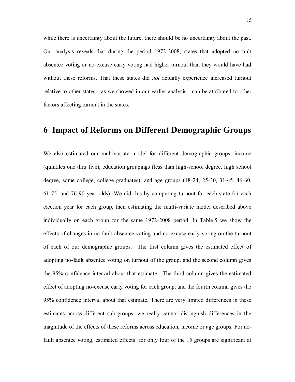while there is uncertainty about the future, there should be no uncertainty about the past. Our analysis reveals that during the period 1972-2008, states that adopted no-fault absentee voting or no-excuse early voting had higher turnout than they would have had without these reforms. That these states did *not* actually experience increased turnout relative to other states - as we showed in our earlier analysis - can be attributed to other factors affecting turnout in the states.

### **6 Impact of Reforms on Different Demographic Groups**

We also estimated our multivariate model for different demographic groups: income (quintiles one thru five), education groupings (less than high-school degree, high school degree, some college, college graduates), and age groups (18-24, 25-30, 31-45, 46-60, 61-75, and 76-90 year olds). We did this by computing turnout for each state for each election year for each group, then estimating the multi-variate model described above individually on each group for the same 1972-2008 period. In Table 5 we show the effects of changes in no-fault absentee voting and no-excuse early voting on the turnout of each of our demographic groups. The first column gives the estimated effect of adopting no-fault absentee voting on turnout of the group, and the second column gives the 95% confidence interval about that estimate. The third column gives the estimated effect of adopting no-excuse early voting for each group, and the fourth column gives the 95% confidence interval about that estimate. There are very limited differences in these estimates across different sub-groups; we really cannot distinguish differences in the magnitude of the effects of these reforms across education, income or age groups. For nofault absentee voting, estimated effects for only four of the 15 groups are significant at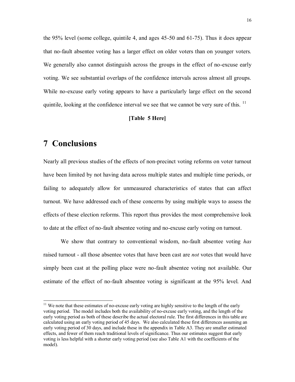the 95% level (some college, quintile 4, and ages 45-50 and 61-75). Thus it does appear that no-fault absentee voting has a larger effect on older voters than on younger voters. We generally also cannot distinguish across the groups in the effect of no-excuse early voting. We see substantial overlaps of the confidence intervals across almost all groups. While no-excuse early voting appears to have a particularly large effect on the second quintile, looking at the confidence interval we see that we cannot be very sure of this. <sup>11</sup>

#### **[Table 5 Here]**

### **7 Conclusions**

 $\overline{a}$ 

Nearly all previous studies of the effects of non-precinct voting reforms on voter turnout have been limited by not having data across multiple states and multiple time periods, or failing to adequately allow for unmeasured characteristics of states that can affect turnout. We have addressed each of these concerns by using multiple ways to assess the effects of these election reforms. This report thus provides the most comprehensive look to date at the effect of no-fault absentee voting and no-excuse early voting on turnout.

We show that contrary to conventional wisdom, no-fault absentee voting *has* raised turnout - all those absentee votes that have been cast are *not* votes that would have simply been cast at the polling place were no-fault absentee voting not available. Our estimate of the effect of no-fault absentee voting is significant at the 95% level. And

 $11$  We note that these estimates of no-excuse early voting are highly sensitive to the length of the early voting period. The model includes both the availability of no-excuse early voting, and the length of the early voting period as both of these describe the actual electoral rule. The first differences in this table are calculated using an early voting period of 45 days. We also calculated these first differences assuming an early voting period of 30 days, and include these in the appendix in Table A3. They are smaller estimated effects, and fewer of them reach traditional levels of significance. Thus our estimates suggest that early voting is less helpful with a shorter early voting period (see also Table A1 with the coefficients of the model).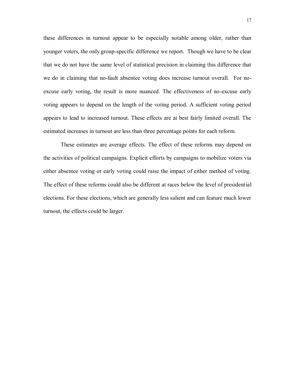these differences in turnout appear to be especially notable among older, rather than younger voters, the only group-specific difference we report. Though we have to be clear that we do not have the same level of statistical precision in claiming this difference that we do in claiming that no-fault absentee voting does increase turnout overall. For noexcuse early voting, the result is more nuanced. The effectiveness of no-excuse early voting appears to depend on the length of the voting period. A sufficient voting period appears to lead to increased turnout. These effects are at best fairly limited overall. The estimated increases in turnout are less than three percentage points for each reform.

These estimates are average effects. The effect of these reforms may depend on the activities of political campaigns. Explicit efforts by campaigns to mobilize voters via either absentee voting or early voting could raise the impact of either method of voting. The effect of these reforms could also be different at races below the level of presidential elections. For these elections, which are generally less salient and can feature much lower turnout, the effects could be larger.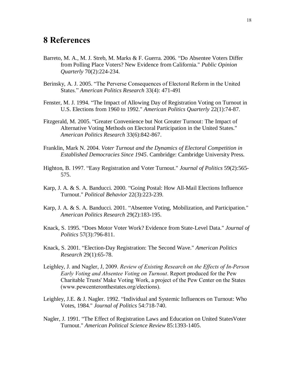## **8 References**

- Barreto, M. A., M. J. Streb, M. Marks & F. Guerra. 2006. "Do Absentee Voters Differ from Polling Place Voters? New Evidence from California." *Public Opinion Quarterly* 70(2):224-234.
- Berinsky, A. J. 2005. "The Perverse Consequences of Electoral Reform in the United States." *American Politics Research* 33(4): 471-491
- Fenster, M. J. 1994. "The Impact of Allowing Day of Registration Voting on Turnout in U.S. Elections from 1960 to 1992." *American Politics Quarterly* 22(1):74-87.
- Fitzgerald, M. 2005. "Greater Convenience but Not Greater Turnout: The Impact of Alternative Voting Methods on Electoral Participation in the United States." *American Politics Research* 33(6):842-867.
- Franklin, Mark N. 2004. *Voter Turnout and the Dynamics of Electoral Competition in Established Democracies Since 1945*. Cambridge: Cambridge University Press.
- Highton, B. 1997. "Easy Registration and Voter Turnout." *Journal of Politics* 59(2):565- 575.
- Karp, J. A. & S. A. Banducci. 2000. "Going Postal: How All-Mail Elections Influence Turnout." *Political Behavior* 22(3):223-239.
- Karp, J. A. & S. A. Banducci. 2001. "Absentee Voting, Mobilization, and Participation." *American Politics Research* 29(2):183-195.
- Knack, S. 1995. "Does Motor Voter Work? Evidence from State-Level Data." *Journal of Politics* 57(3):796-811.
- Knack, S. 2001. "Election-Day Registration: The Second Wave." *American Politics Research* 29(1):65-78.
- Leighley, J. and Nagler, J, 2009. *Review of Existing Research on the Effects of In-Person Early Voting and Absentee Voting on Turnout*. Report produced for the Pew Charitable Trusts' Make Voting Work, a project of the Pew Center on the States (www.pewcenteronthestates.org/elections).
- Leighley, J.E. & J. Nagler. 1992. "Individual and Systemic Influences on Turnout: Who Votes, 1984." *Journal of Politics* 54:718-740.
- Nagler, J. 1991. "The Effect of Registration Laws and Education on United StatesVoter Turnout." *American Political Science Review* 85:1393-1405.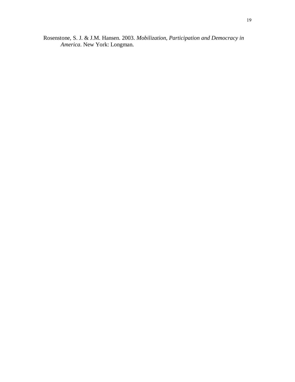Rosenstone, S. J. & J.M. Hansen. 2003. *Mobilization, Participation and Democracy in America*. New York: Longman.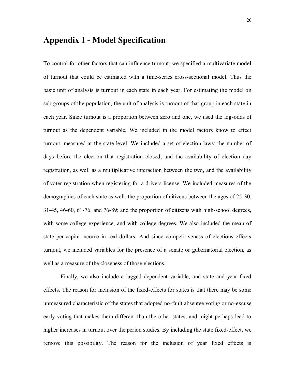### **Appendix I - Model Specification**

To control for other factors that can influence turnout, we specified a multivariate model of turnout that could be estimated with a time-series cross-sectional model. Thus the basic unit of analysis is turnout in each state in each year. For estimating the model on sub-groups of the population, the unit of analysis is turnout of that group in each state in each year. Since turnout is a proportion between zero and one, we used the log-odds of turnout as the dependent variable. We included in the model factors know to effect turnout, measured at the state level. We included a set of election laws: the number of days before the election that registration closed, and the availability of election day registration, as well as a multiplicative interaction between the two, and the availability of voter registration when registering for a drivers license. We included measures of the demographics of each state as well: the proportion of citizens between the ages of 25-30, 31-45, 46-60, 61-76, and 76-89; and the proportion of citizens with high-school degrees, with some college experience, and with college degrees. We also included the mean of state per-capita income in real dollars. And since competitiveness of elections effects turnout, we included variables for the presence of a senate or gubernatorial election, as well as a measure of the closeness of those elections.

Finally, we also include a lagged dependent variable, and state and year fixed effects. The reason for inclusion of the fixed-effects for states is that there may be some unmeasured characteristic of the states that adopted no-fault absentee voting or no-excuse early voting that makes them different than the other states, and might perhaps lead to higher increases in turnout over the period studies. By including the state fixed-effect, we remove this possibility. The reason for the inclusion of year fixed effects is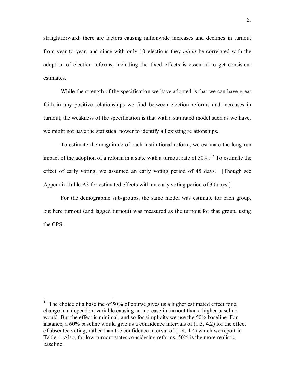straightforward: there are factors causing nationwide increases and declines in turnout from year to year, and since with only 10 elections they *might* be correlated with the adoption of election reforms, including the fixed effects is essential to get consistent estimates.

While the strength of the specification we have adopted is that we can have great faith in any positive relationships we find between election reforms and increases in turnout, the weakness of the specification is that with a saturated model such as we have, we might not have the statistical power to identify all existing relationships.

To estimate the magnitude of each institutional reform, we estimate the long-run impact of the adoption of a reform in a state with a turnout rate of  $50\%$ .<sup>12</sup> To estimate the effect of early voting, we assumed an early voting period of 45 days. [Though see Appendix Table A3 for estimated effects with an early voting period of 30 days.]

For the demographic sub-groups, the same model was estimate for each group, but here turnout (and lagged turnout) was measured as the turnout for that group, using the CPS.

 $12$  The choice of a baseline of 50% of course gives us a higher estimated effect for a change in a dependent variable causing an increase in turnout than a higher baseline would. But the effect is minimal, and so for simplicity we use the 50% baseline. For instance, a 60% baseline would give us a confidence intervals of (1.3, 4.2) for the effect of absentee voting, rather than the confidence interval of  $(1.4, 4.4)$  which we report in Table 4. Also, for low-turnout states considering reforms, 50% is the more realistic baseline.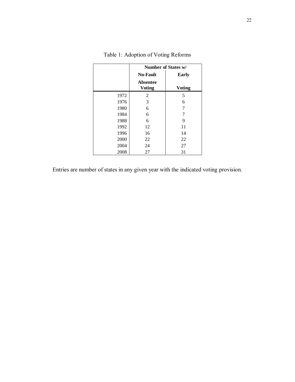|      | <b>Number of States w/</b>       |               |  |
|------|----------------------------------|---------------|--|
|      | <b>No-Fault</b>                  | <b>Early</b>  |  |
|      | <b>Absentee</b><br><b>Voting</b> | <b>Voting</b> |  |
| 1972 | 2                                | 5             |  |
| 1976 | 3                                | 6             |  |
| 1980 | 6                                | 7             |  |
| 1984 | 6                                | 7             |  |
| 1988 | 6                                | 9             |  |
| 1992 | 12                               | 11            |  |
| 1996 | 16                               | 14            |  |
| 2000 | 22                               | 22            |  |
| 2004 | 24                               | 27            |  |
| 2008 | 27                               | 31            |  |

Entries are number of states in any given year with the indicated voting provision.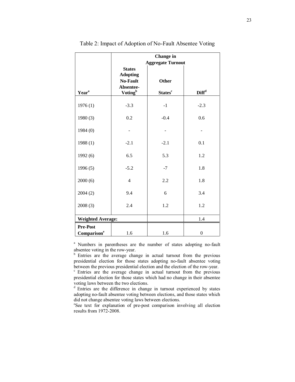|                          | <b>Change</b> in                 |                            |                         |  |  |
|--------------------------|----------------------------------|----------------------------|-------------------------|--|--|
|                          |                                  | <b>Aggregate Turnout</b>   |                         |  |  |
|                          | <b>States</b><br><b>Adopting</b> |                            |                         |  |  |
|                          | <b>No-Fault</b>                  | Other                      |                         |  |  |
| Year <sup>a</sup>        | Absentee-<br>Voting <sup>b</sup> | <b>States</b> <sup>c</sup> | <b>Diff<sup>d</sup></b> |  |  |
|                          |                                  |                            |                         |  |  |
| 1976(1)                  | $-3.3$                           | $-1$                       | $-2.3$                  |  |  |
| 1980(3)                  | 0.2                              | $-0.4$                     | 0.6                     |  |  |
| 1984(0)                  |                                  |                            |                         |  |  |
| 1988(1)                  | $-2.1$                           | $-2.1$                     | 0.1                     |  |  |
| 1992(6)                  | 6.5                              | 5.3                        | 1.2                     |  |  |
| 1996(5)                  | $-5.2$                           | $-7$                       | 1.8                     |  |  |
| 2000(6)                  | $\overline{4}$                   | 2.2                        | 1.8                     |  |  |
| 2004(2)                  | 9.4                              | 6                          | 3.4                     |  |  |
| 2008(3)                  | 2.4                              | 1.2                        | 1.2                     |  |  |
| <b>Weighted Average:</b> |                                  |                            | 1.4                     |  |  |
| <b>Pre-Post</b>          |                                  |                            |                         |  |  |
| Comparison <sup>e</sup>  | 1.6                              | 1.6                        | $\boldsymbol{0}$        |  |  |

#### Table 2: Impact of Adoption of No-Fault Absentee Voting

<sup>a</sup> Numbers in parentheses are the number of states adopting no-fault absentee voting in the row-year.

b Entries are the average change in actual turnout from the previous presidential election for those states adopting no-fault absentee voting between the previous presidential election and the election of the row-year.

<sup>c</sup> Entries are the average change in actual turnout from the previous presidential election for those states which had no change in their absentee voting laws between the two elections.

<sup>d</sup> Entries are the difference in change in turnout experienced by states adopting no-fault absentee voting between elections, and those states which did not change absentee voting laws between elections.

e See text for explanation of pre-post comparison involving all election results from 1972-2008.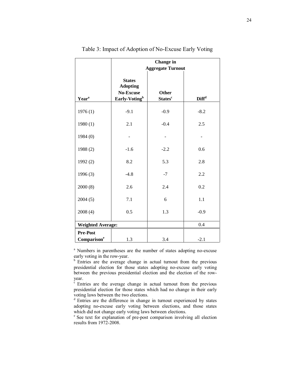|                          | <b>Change</b> in<br><b>Aggregate Turnout</b>                                      |                                     |                   |  |  |  |
|--------------------------|-----------------------------------------------------------------------------------|-------------------------------------|-------------------|--|--|--|
| Year <sup>a</sup>        | <b>States</b><br><b>Adopting</b><br><b>No-Excuse</b><br>Early-Voting <sup>b</sup> | Other<br><b>States</b> <sup>c</sup> | $\mathbf{Diff}^d$ |  |  |  |
| 1976(1)                  | $-9.1$                                                                            | $-0.9$                              | $-8.2$            |  |  |  |
| 1980(1)                  | 2.1                                                                               | $-0.4$                              | 2.5               |  |  |  |
| 1984(0)                  |                                                                                   |                                     |                   |  |  |  |
| 1988 (2)                 | $-1.6$                                                                            | $-2.2$                              | 0.6               |  |  |  |
| 1992(2)                  | 8.2                                                                               | 5.3                                 | 2.8               |  |  |  |
| 1996(3)                  | $-4.8$                                                                            | $-7$                                | 2.2               |  |  |  |
| 2000(8)                  | 2.6                                                                               | 2.4                                 | 0.2               |  |  |  |
| 2004(5)                  | 7.1                                                                               | 6                                   | 1.1               |  |  |  |
| 2008(4)                  | 0.5                                                                               | 1.3                                 | $-0.9$            |  |  |  |
| <b>Weighted Average:</b> |                                                                                   |                                     | $0.4\,$           |  |  |  |
| Pre-Post                 |                                                                                   |                                     |                   |  |  |  |
| Comparison <sup>e</sup>  | 1.3                                                                               | 3.4                                 | $-2.1$            |  |  |  |

Table 3: Impact of Adoption of No-Excuse Early Voting

<sup>a</sup> Numbers in parentheses are the number of states adopting no-excuse early voting in the row-year.

 $b$  Entries are the average change in actual turnout from the previous presidential election for those states adopting no-excuse early voting between the previous presidential election and the election of the rowyear.

 $\epsilon$ <sup>c</sup> Entries are the average change in actual turnout from the previous presidential election for those states which had no change in their early voting laws between the two elections.

 $\frac{d}{dx}$  Entries are the difference in change in turnout experienced by states adopting no-excuse early voting between elections, and those states which did not change early voting laws between elections.

<sup>e</sup> See text for explanation of pre-post comparison involving all election results from 1972-2008.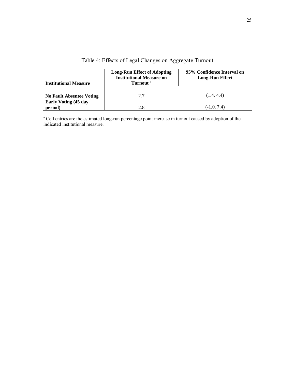| <b>Institutional Measure</b>           | <b>Long-Run Effect of Adopting</b><br><b>Institutional Measure on</b><br>Turnout <sup>"</sup> | 95% Confidence Interval on<br><b>Long-Run Effect</b> |
|----------------------------------------|-----------------------------------------------------------------------------------------------|------------------------------------------------------|
| <b>No Fault Absentee Voting</b>        | 2.7                                                                                           | (1.4, 4.4)                                           |
| <b>Early Voting (45 day</b><br>period) |                                                                                               | $(-1.0, 7.4)$                                        |

### Table 4: Effects of Legal Changes on Aggregate Turnout

<sup>a</sup> Cell entries are the estimated long-run percentage point increase in turnout caused by adoption of the indicated institutional measure.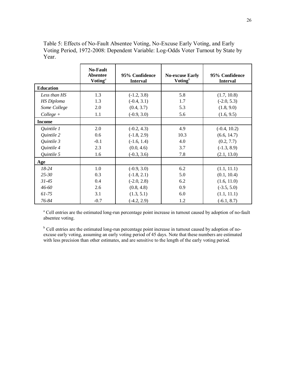Table 5: Effects of No-Fault Absentee Voting, No-Excuse Early Voting, and Early Voting Period, 1972-2008: Dependent Variable: Log-Odds Voter Turnout by State by Year.

|                   | <b>No-Fault</b><br><b>Absentee</b><br>Voting $\mathbf{q}^a$ | 95% Confidence<br><b>Interval</b> | <b>No-excuse Early</b><br>Voting $\mathbf{y}$ | 95% Confidence<br><b>Interval</b> |
|-------------------|-------------------------------------------------------------|-----------------------------------|-----------------------------------------------|-----------------------------------|
| <b>Education</b>  |                                                             |                                   |                                               |                                   |
| Less than HS      | 1.3                                                         | $(-1.2, 3.8)$                     | 5.8                                           | (1.7, 10.8)                       |
| <b>HS</b> Diploma | 1.3                                                         | $(-0.4, 3.1)$                     | 1.7                                           | $(-2.0, 5.3)$                     |
| Some College      | 2.0                                                         | (0.4, 3.7)                        | 5.3                                           | (1.8, 9.0)                        |
| $Collect +$       | 1.1                                                         | $(-0.9, 3.0)$                     | 5.6                                           | (1.6, 9.5)                        |
| <b>Income</b>     |                                                             |                                   |                                               |                                   |
| Quintile 1        | 2.0                                                         | $(-0.2, 4.3)$                     | 4.9                                           | $(-0.4, 10.2)$                    |
| Quintile 2        | 0.6                                                         | $(-1.8, 2.9)$                     | 10.3                                          | (6.6, 14.7)                       |
| Quintile 3        | $-0.1$                                                      | $(-1.6, 1.4)$                     | 4.0                                           | (0.2, 7.7)                        |
| Quintile 4        | 2.3                                                         | (0.0, 4.6)                        | 3.7                                           | $(-1.3, 8.9)$                     |
| Quintile 5        | 1.6                                                         | $(-0.3, 3.6)$                     | 7.8                                           | (2.1, 13.0)                       |
| Age               |                                                             |                                   |                                               |                                   |
| $18-24$           | 1.0                                                         | $(-0.9, 3.0)$                     | 6.2                                           | (1.1, 11.1)                       |
| $25 - 30$         | 0.3                                                         | $(-1.8, 2.1)$                     | 5.0                                           | (0.1, 10.4)                       |
| $31 - 45$         | 0.4                                                         | $(-2.0, 2.8)$                     | 6.2                                           | (1.6, 11.0)                       |
| 46-60             | 2.6                                                         | (0.8, 4.8)                        | 0.9                                           | $(-3.5, 5.0)$                     |
| $61 - 75$         | 3.1                                                         | (1.3, 5.1)                        | 6.0                                           | (1.1, 11.1)                       |
| 76-84             | $-0.7$                                                      | $(-4.2, 2.9)$                     | 1.2                                           | $(-6.1, 8.7)$                     |

<sup>a</sup> Cell entries are the estimated long-run percentage point increase in turnout caused by adoption of no-fault absentee voting.

<sup>b</sup> Cell entries are the estimated long-run percentage point increase in turnout caused by adoption of noexcuse early voting, assuming an early voting period of 45 days. Note that these numbers are estimated with less precision than other estimates, and are sensitive to the length of the early voting period.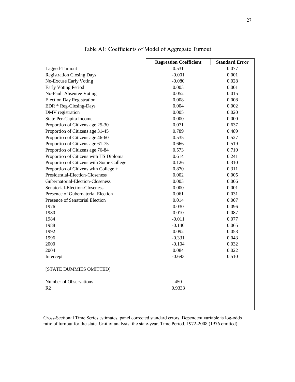|                                          | <b>Regression Coefficient</b> | <b>Standard Error</b> |
|------------------------------------------|-------------------------------|-----------------------|
| Lagged-Turnout                           | 0.531                         | 0.077                 |
| <b>Registration Closing Days</b>         | $-0.001$                      | 0.001                 |
| No-Excuse Early Voting                   | $-0.080$                      | 0.028                 |
| <b>Early Voting Period</b>               | 0.003                         | 0.001                 |
| No-Fault Absentee Voting                 | 0.052                         | 0.015                 |
| <b>Election Day Registration</b>         | 0.008                         | 0.008                 |
| EDR * Reg-Closing-Days                   | 0.004                         | 0.002                 |
| DMV registration                         | 0.005                         | 0.020                 |
| State Per-Capita Income                  | 0.000                         | 0.000                 |
| Proportion of Citizens age 25-30         | 0.071                         | 0.637                 |
| Proportion of Citizens age 31-45         | 0.789                         | 0.489                 |
| Proportion of Citizens age 46-60         | 0.535                         | 0.527                 |
| Proportion of Citizens age 61-75         | 0.666                         | 0.519                 |
| Proportion of Citizens age 76-84         | 0.573                         | 0.710                 |
| Proportion of Citizens with HS Diploma   | 0.614                         | 0.241                 |
| Proportion of Citizens with Some College | 0.126                         | 0.310                 |
| Proportion of Citizens with College +    | 0.870                         | 0.311                 |
| Presidential-Election-Closeness          | 0.002                         | 0.005                 |
| Gubernatorial-Election-Closeness         | 0.003                         | 0.006                 |
| Senatorial-Election-Closeness            | 0.000                         | 0.001                 |
| Presence of Gubernatorial Election       | 0.061                         | 0.031                 |
| Presence of Senatorial Election          | 0.014                         | 0.007                 |
| 1976                                     | 0.030                         | 0.096                 |
| 1980                                     | 0.010                         | 0.087                 |
| 1984                                     | $-0.011$                      | 0.077                 |
| 1988                                     | $-0.140$                      | 0.065                 |
| 1992                                     | 0.092                         | 0.053                 |
| 1996                                     | $-0.331$                      | 0.043                 |
| 2000                                     | $-0.104$                      | 0.032                 |
| 2004                                     | 0.084                         | 0.022                 |
| Intercept                                | $-0.693$                      | 0.510                 |
| [STATE DUMMIES OMITTED]                  |                               |                       |
| Number of Observations                   | 450                           |                       |
| R <sub>2</sub>                           | 0.9333                        |                       |
|                                          |                               |                       |

Table A1: Coefficients of Model of Aggregate Turnout

Cross-Sectional Time Series estimates, panel corrected standard errors. Dependent variable is log-odds ratio of turnout for the state. Unit of analysis: the state-year. Time Period, 1972-2008 (1976 omitted).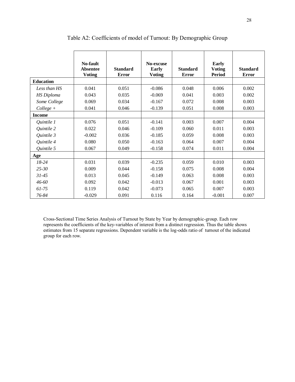|                   | No-fault<br><b>Absentee</b><br><b>Voting</b> | <b>Standard</b><br><b>Error</b> | No-excuse<br>Early<br><b>Voting</b> | <b>Standard</b><br><b>Error</b> | <b>Early</b><br><b>Voting</b><br><b>Period</b> | <b>Standard</b><br><b>Error</b> |
|-------------------|----------------------------------------------|---------------------------------|-------------------------------------|---------------------------------|------------------------------------------------|---------------------------------|
| <b>Education</b>  |                                              |                                 |                                     |                                 |                                                |                                 |
| Less than HS      | 0.041                                        | 0.051                           | $-0.086$                            | 0.048                           | 0.006                                          | 0.002                           |
| <b>HS</b> Diploma | 0.043                                        | 0.035                           | $-0.069$                            | 0.041                           | 0.003                                          | 0.002                           |
| Some College      | 0.069                                        | 0.034                           | $-0.167$                            | 0.072                           | 0.008                                          | 0.003                           |
| $Collect +$       | 0.041                                        | 0.046                           | $-0.139$                            | 0.051                           | 0.008                                          | 0.003                           |
| <b>Income</b>     |                                              |                                 |                                     |                                 |                                                |                                 |
| Quintile 1        | 0.076                                        | 0.051                           | $-0.141$                            | 0.003                           | 0.007                                          | 0.004                           |
| Quintile 2        | 0.022                                        | 0.046                           | $-0.109$                            | 0.060                           | 0.011                                          | 0.003                           |
| Quintile 3        | $-0.002$                                     | 0.036                           | $-0.185$                            | 0.059                           | 0.008                                          | 0.003                           |
| Quintile 4        | 0.080                                        | 0.050                           | $-0.163$                            | 0.064                           | 0.007                                          | 0.004                           |
| Quintile 5        | 0.067                                        | 0.049                           | $-0.158$                            | 0.074                           | 0.011                                          | 0.004                           |
| Age               |                                              |                                 |                                     |                                 |                                                |                                 |
| $18-24$           | 0.031                                        | 0.039                           | $-0.235$                            | 0.059                           | 0.010                                          | 0.003                           |
| $25 - 30$         | 0.009                                        | 0.044                           | $-0.158$                            | 0.075                           | 0.008                                          | 0.004                           |
| $31 - 45$         | 0.013                                        | 0.045                           | $-0.149$                            | 0.063                           | 0.008                                          | 0.003                           |
| 46-60             | 0.092                                        | 0.042                           | $-0.013$                            | 0.067                           | 0.001                                          | 0.003                           |
| $61 - 75$         | 0.119                                        | 0.042                           | $-0.073$                            | 0.065                           | 0.007                                          | 0.003                           |
| 76-84             | $-0.029$                                     | 0.091                           | 0.116                               | 0.164                           | $-0.001$                                       | 0.007                           |

Table A2: Coefficients of model of Turnout: By Demographic Group

Cross-Sectional Time Series Analysis of Turnout by State by Year by demographic-group. Each row represents the coefficients of the key-variables of interest from a distinct regression. Thus the table shows estimates from 15 separate regressions. Dependent variable is the log-odds ratio of turnout of the indicated group for each row.